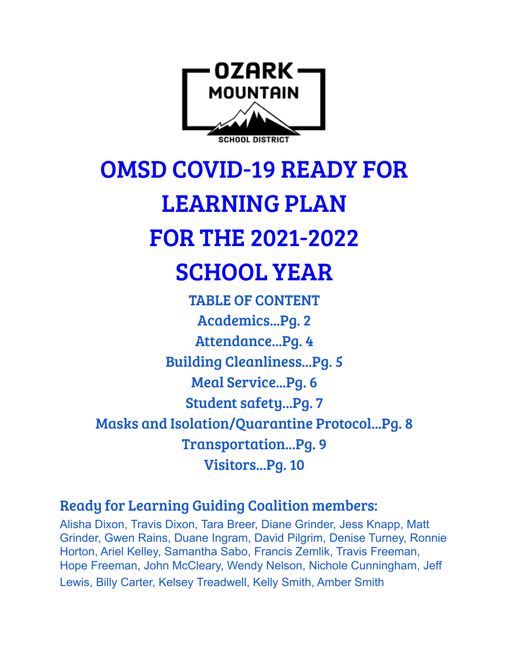

OMSD COVID-19 READY FOR LEARNING PLAN FOR THE 2021-2022 SCHOOL YEAR

TABLE OF CONTENT Academics...Pg. 2 Attendance...Pg. 4 Building Cleanliness...Pg. 5 Meal Service...Pg. 6 Student safety...Pg. 7 Masks and Isolation/Quarantine Protocol...Pg. 8 Transportation...Pg. 9 Visitors...Pg. 10

Ready for Learning Guiding Coalition members:

Alisha Dixon, Travis Dixon, Tara Breer, Diane Grinder, Jess Knapp, Matt Grinder, Gwen Rains, Duane Ingram, David Pilgrim, Denise Turney, Ronnie Horton, Ariel Kelley, Samantha Sabo, Francis Zemlik, Travis Freeman, Hope Freeman, John McCleary, Wendy Nelson, Nichole Cunningham, Jeff Lewis, Billy Carter, Kelsey Treadwell, Kelly Smith, Amber Smith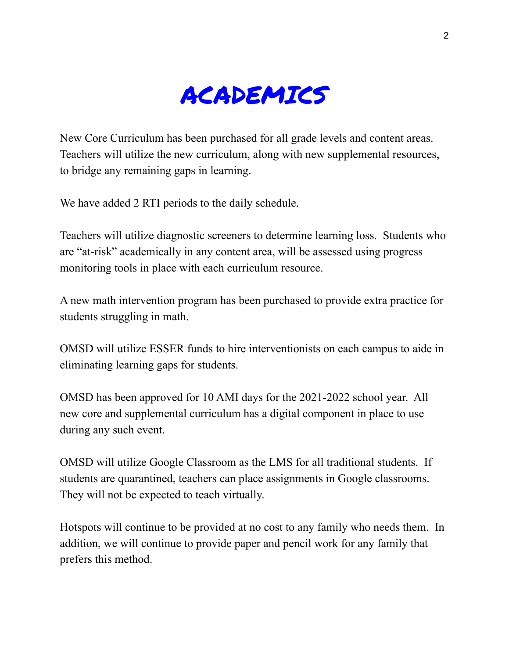

New Core Curriculum has been purchased for all grade levels and content areas. Teachers will utilize the new curriculum, along with new supplemental resources, to bridge any remaining gaps in learning.

We have added 2 RTI periods to the daily schedule.

Teachers will utilize diagnostic screeners to determine learning loss. Students who are "at-risk" academically in any content area, will be assessed using progress monitoring tools in place with each curriculum resource.

A new math intervention program has been purchased to provide extra practice for students struggling in math.

OMSD will utilize ESSER funds to hire interventionists on each campus to aide in eliminating learning gaps for students.

OMSD has been approved for 10 AMI days for the 2021-2022 school year. All new core and supplemental curriculum has a digital component in place to use during any such event.

OMSD will utilize Google Classroom as the LMS for all traditional students. If students are quarantined, teachers can place assignments in Google classrooms. They will not be expected to teach virtually.

Hotspots will continue to be provided at no cost to any family who needs them. In addition, we will continue to provide paper and pencil work for any family that prefers this method.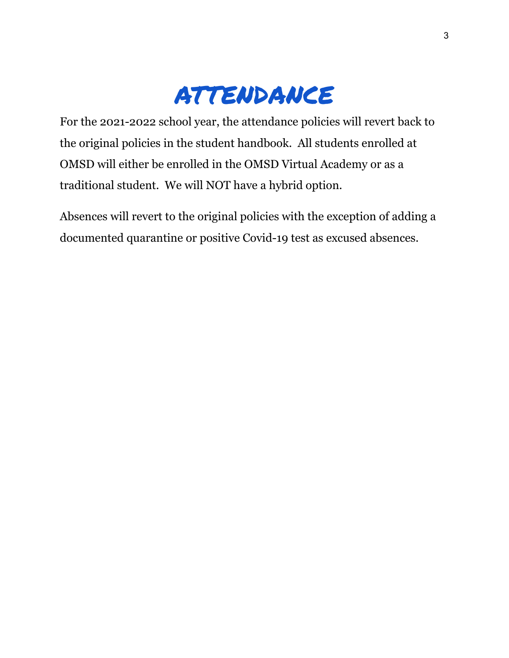### ATTENDANCE

For the 2021-2022 school year, the attendance policies will revert back to the original policies in the student handbook. All students enrolled at OMSD will either be enrolled in the OMSD Virtual Academy or as a traditional student. We will NOT have a hybrid option.

Absences will revert to the original policies with the exception of adding a documented quarantine or positive Covid-19 test as excused absences.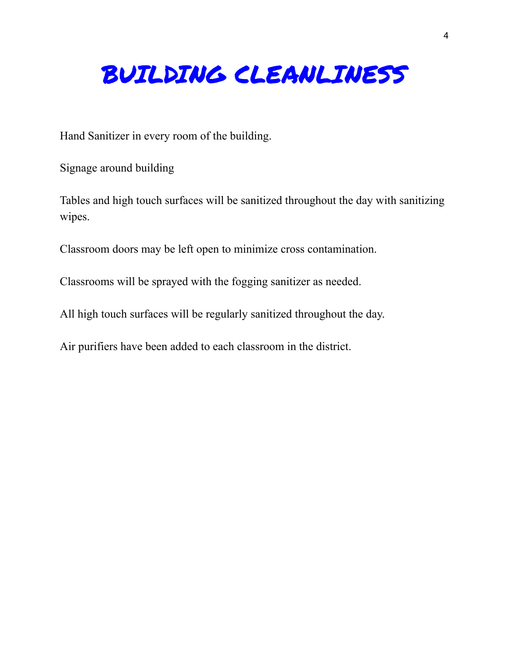## BUILDING CLEANLINESS

Hand Sanitizer in every room of the building.

Signage around building

Tables and high touch surfaces will be sanitized throughout the day with sanitizing wipes.

Classroom doors may be left open to minimize cross contamination.

Classrooms will be sprayed with the fogging sanitizer as needed.

All high touch surfaces will be regularly sanitized throughout the day.

Air purifiers have been added to each classroom in the district.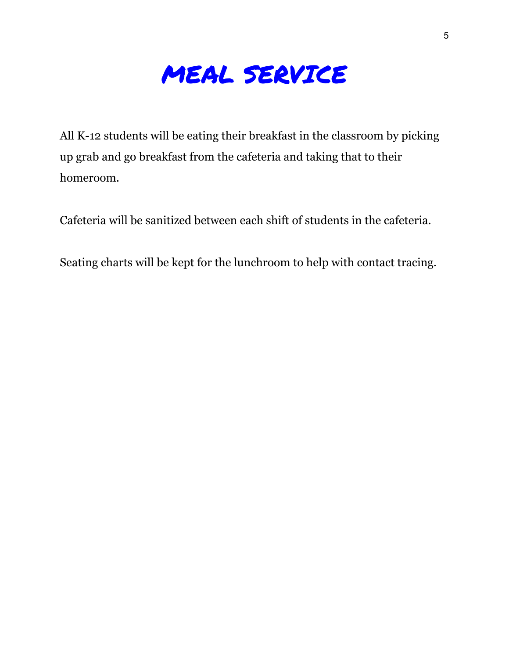

All K-12 students will be eating their breakfast in the classroom by picking up grab and go breakfast from the cafeteria and taking that to their homeroom.

Cafeteria will be sanitized between each shift of students in the cafeteria.

Seating charts will be kept for the lunchroom to help with contact tracing.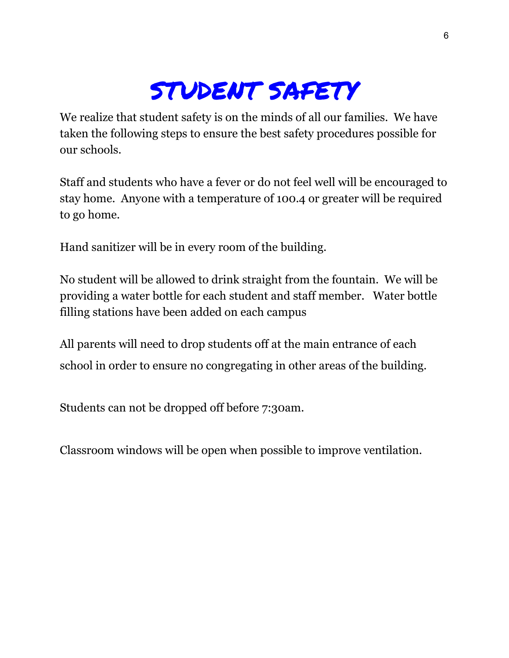## STUDENT SAFETY

We realize that student safety is on the minds of all our families. We have taken the following steps to ensure the best safety procedures possible for our schools.

Staff and students who have a fever or do not feel well will be encouraged to stay home. Anyone with a temperature of 100.4 or greater will be required to go home.

Hand sanitizer will be in every room of the building.

No student will be allowed to drink straight from the fountain. We will be providing a water bottle for each student and staff member. Water bottle filling stations have been added on each campus

All parents will need to drop students off at the main entrance of each school in order to ensure no congregating in other areas of the building.

Students can not be dropped off before 7:30am.

Classroom windows will be open when possible to improve ventilation.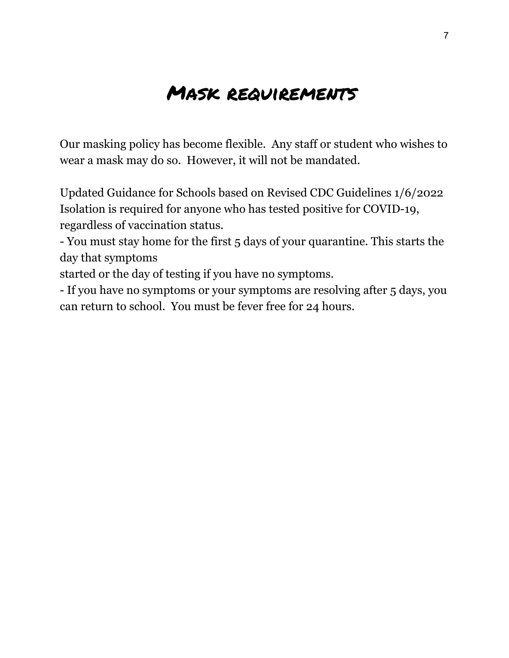#### Mask requirements

Our masking policy has become flexible. Any staff or student who wishes to wear a mask may do so. However, it will not be mandated.

Updated Guidance for Schools based on Revised CDC Guidelines 1/6/2022 Isolation is required for anyone who has tested positive for COVID-19, regardless of vaccination status.

- You must stay home for the first 5 days of your quarantine. This starts the day that symptoms

started or the day of testing if you have no symptoms.

- If you have no symptoms or your symptoms are resolving after 5 days, you can return to school. You must be fever free for 24 hours.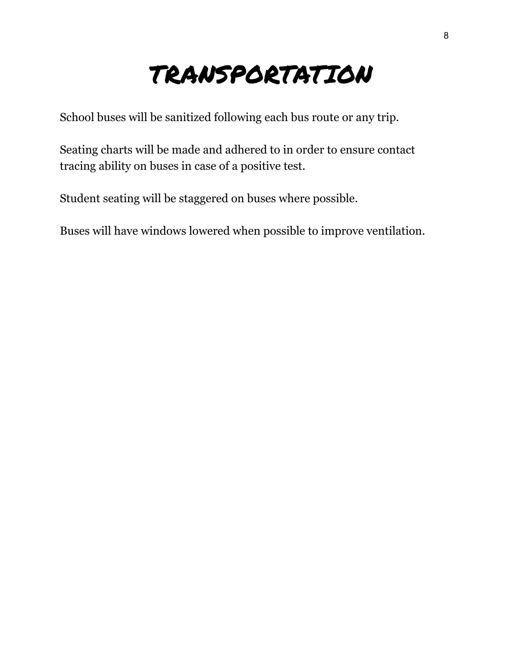# TRANSPORTATION

School buses will be sanitized following each bus route or any trip.

Seating charts will be made and adhered to in order to ensure contact tracing ability on buses in case of a positive test.

Student seating will be staggered on buses where possible.

Buses will have windows lowered when possible to improve ventilation.